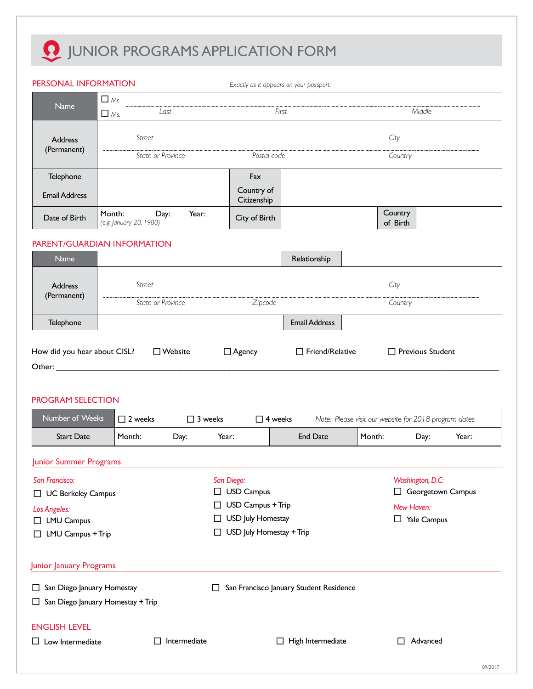# **Q** JUNIOR PROGRAMS APPLICATION FORM

| PERSONAL INFORMATION                                                                                                                                                                                                                                       |                                   |                    |                                    | Exactly as it appears on your passport: |                                                       |                   |       |  |
|------------------------------------------------------------------------------------------------------------------------------------------------------------------------------------------------------------------------------------------------------------|-----------------------------------|--------------------|------------------------------------|-----------------------------------------|-------------------------------------------------------|-------------------|-------|--|
|                                                                                                                                                                                                                                                            | $\Box$ Mr.                        |                    |                                    |                                         |                                                       |                   |       |  |
| Name                                                                                                                                                                                                                                                       | $\Box$ Ms.                        | Last               |                                    | First                                   |                                                       | Middle            |       |  |
| <b>Address</b>                                                                                                                                                                                                                                             | Street                            |                    |                                    |                                         |                                                       |                   |       |  |
| (Permanent)                                                                                                                                                                                                                                                |                                   |                    |                                    |                                         | City                                                  |                   |       |  |
|                                                                                                                                                                                                                                                            |                                   | State or Province  | Postal code                        |                                         |                                                       | Country           |       |  |
| Telephone                                                                                                                                                                                                                                                  |                                   |                    | Fax                                |                                         |                                                       |                   |       |  |
| <b>Email Address</b>                                                                                                                                                                                                                                       |                                   |                    | Country of<br>Citizenship          |                                         |                                                       |                   |       |  |
| Date of Birth                                                                                                                                                                                                                                              | Month:<br>(e.g. January 20, 1980) | Day:<br>Year:      | City of Birth                      |                                         | Country<br>of Birth                                   |                   |       |  |
| PARENT/GUARDIAN INFORMATION                                                                                                                                                                                                                                |                                   |                    |                                    |                                         |                                                       |                   |       |  |
| Name                                                                                                                                                                                                                                                       |                                   |                    |                                    | Relationship                            |                                                       |                   |       |  |
| Address                                                                                                                                                                                                                                                    | Street                            |                    |                                    |                                         | City                                                  |                   |       |  |
| (Permanent)                                                                                                                                                                                                                                                |                                   | State or Province  | Zipcode                            |                                         |                                                       | Country           |       |  |
| Telephone                                                                                                                                                                                                                                                  |                                   |                    |                                    | <b>Email Address</b>                    |                                                       |                   |       |  |
|                                                                                                                                                                                                                                                            |                                   |                    |                                    |                                         |                                                       |                   |       |  |
| Other: when the contract of the contract of the contract of the contract of the contract of the contract of the contract of the contract of the contract of the contract of the contract of the contract of the contract of th<br><b>PROGRAM SELECTION</b> |                                   |                    |                                    |                                         |                                                       |                   |       |  |
| Number of Weeks                                                                                                                                                                                                                                            | $\square$ 2 weeks                 | $\Box$ 3 weeks     |                                    | $\Box$ 4 weeks                          | Note: Please visit our website for 2018 program dates |                   |       |  |
| <b>Start Date</b>                                                                                                                                                                                                                                          | Month:                            | Day:               | Year:                              | <b>End Date</b>                         | Month:                                                | Day:              | Year: |  |
| Junior Summer Programs                                                                                                                                                                                                                                     |                                   |                    |                                    |                                         |                                                       |                   |       |  |
| San Francisco:                                                                                                                                                                                                                                             |                                   |                    | San Diego:                         |                                         |                                                       | Washington, D.C:  |       |  |
| □ UC Berkeley Campus                                                                                                                                                                                                                                       |                                   |                    | <b>USD Campus</b><br>$\Box$        |                                         |                                                       | Georgetown Campus |       |  |
| <b>Los Angeles:</b>                                                                                                                                                                                                                                        |                                   |                    | USD Campus + Trip                  |                                         |                                                       | New Haven:        |       |  |
| □ LMU Campus                                                                                                                                                                                                                                               |                                   |                    | <b>USD July Homestay</b><br>$\Box$ |                                         | $\Box$ Yale Campus                                    |                   |       |  |
| □ LMU Campus + Trip                                                                                                                                                                                                                                        |                                   |                    | USD July Homestay + Trip           |                                         |                                                       |                   |       |  |
| Junior January Programs                                                                                                                                                                                                                                    |                                   |                    |                                    |                                         |                                                       |                   |       |  |
| □ San Diego January Homestay                                                                                                                                                                                                                               |                                   |                    | $\Box$                             | San Francisco January Student Residence |                                                       |                   |       |  |
| $\Box$ San Diego January Homestay + Trip                                                                                                                                                                                                                   |                                   |                    |                                    |                                         |                                                       |                   |       |  |
| <b>ENGLISH LEVEL</b>                                                                                                                                                                                                                                       |                                   |                    |                                    |                                         |                                                       |                   |       |  |
| $\square$ Low Intermediate                                                                                                                                                                                                                                 |                                   | Intermediate<br>L. |                                    | $\Box$ High Intermediate                |                                                       | Advanced<br>П     |       |  |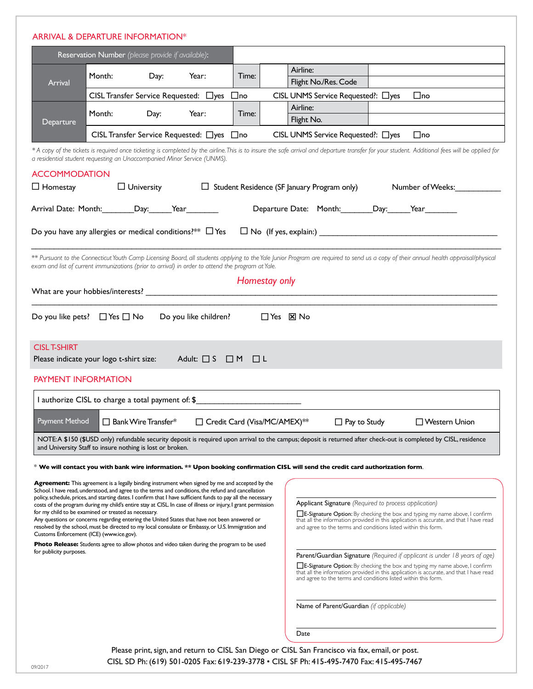|                                                                  | Reservation Number (please provide if available):                       |                                        |                                                                                                                                                                                                                      |       |                           |                                                                                                                                                                                                                                                                 |                                                                                                                                                                               |  |
|------------------------------------------------------------------|-------------------------------------------------------------------------|----------------------------------------|----------------------------------------------------------------------------------------------------------------------------------------------------------------------------------------------------------------------|-------|---------------------------|-----------------------------------------------------------------------------------------------------------------------------------------------------------------------------------------------------------------------------------------------------------------|-------------------------------------------------------------------------------------------------------------------------------------------------------------------------------|--|
| <b>Arrival</b>                                                   | Month:                                                                  | Day:                                   | Year:                                                                                                                                                                                                                | Time: |                           | Airline:<br>Flight No./Res. Code                                                                                                                                                                                                                                |                                                                                                                                                                               |  |
|                                                                  |                                                                         |                                        | CISL Transfer Service Requested: □ yes □ no                                                                                                                                                                          |       |                           | CISL UNMS Service Requested ?: □ yes □ no                                                                                                                                                                                                                       |                                                                                                                                                                               |  |
|                                                                  |                                                                         |                                        |                                                                                                                                                                                                                      |       |                           | Airline:                                                                                                                                                                                                                                                        |                                                                                                                                                                               |  |
| Departure                                                        | Month:                                                                  | Day:                                   | Year:                                                                                                                                                                                                                | Time: |                           | Flight No.                                                                                                                                                                                                                                                      |                                                                                                                                                                               |  |
|                                                                  |                                                                         |                                        | CISL Transfer Service Requested: □ yes □ no                                                                                                                                                                          |       |                           | CISL UNMS Service Requested?: □yes □ no                                                                                                                                                                                                                         |                                                                                                                                                                               |  |
|                                                                  | a residential student requesting an Unaccompanied Minor Service (UNMS). |                                        |                                                                                                                                                                                                                      |       |                           | * A copy of the tickets is required once ticketing is completed by the airline. This is to insure the safe arrival and departure transfer for your student. Additional fees will be applied for                                                                 |                                                                                                                                                                               |  |
| <b>ACCOMMODATION</b>                                             |                                                                         |                                        |                                                                                                                                                                                                                      |       |                           |                                                                                                                                                                                                                                                                 |                                                                                                                                                                               |  |
| $\Box$ Homestay                                                  |                                                                         |                                        |                                                                                                                                                                                                                      |       |                           | $\Box$ University $\Box$ Student Residence (SF January Program only)                                                                                                                                                                                            | Number of Weeks:                                                                                                                                                              |  |
|                                                                  |                                                                         |                                        |                                                                                                                                                                                                                      |       |                           |                                                                                                                                                                                                                                                                 |                                                                                                                                                                               |  |
|                                                                  | Arrival Date: Month: Day: Year                                          |                                        |                                                                                                                                                                                                                      |       |                           | Departure Date: Month: Day: Year                                                                                                                                                                                                                                |                                                                                                                                                                               |  |
|                                                                  |                                                                         |                                        |                                                                                                                                                                                                                      |       |                           | Do you have any allergies or medical conditions?** $\Box$ Yes $\Box$ No (If yes, explain:) $\Box$ and $\Box$ and $\Box$ and $\Box$ and $\Box$ and $\Box$ and $\Box$ and $\Box$ and $\Box$ and $\Box$ and $\Box$ and $\Box$ and $\Box$ and $\Box$ and $\Box$ and |                                                                                                                                                                               |  |
|                                                                  |                                                                         |                                        |                                                                                                                                                                                                                      |       |                           |                                                                                                                                                                                                                                                                 |                                                                                                                                                                               |  |
|                                                                  |                                                                         |                                        |                                                                                                                                                                                                                      |       |                           | ** Pursuant to the Connecticut Youth Camp Licensing Board, all students applying to the Yale Junior Program are required to send us a copy of their annual health appraisal/physical                                                                            |                                                                                                                                                                               |  |
|                                                                  |                                                                         |                                        | exam and list of current immunizations (prior to arrival) in order to attend the program at Yale.                                                                                                                    |       |                           |                                                                                                                                                                                                                                                                 |                                                                                                                                                                               |  |
|                                                                  |                                                                         |                                        |                                                                                                                                                                                                                      |       | Homestay only             |                                                                                                                                                                                                                                                                 |                                                                                                                                                                               |  |
|                                                                  |                                                                         |                                        |                                                                                                                                                                                                                      |       |                           |                                                                                                                                                                                                                                                                 |                                                                                                                                                                               |  |
|                                                                  |                                                                         | Do you like pets? $\Box$ Yes $\Box$ No | Do you like children?                                                                                                                                                                                                |       | $\Box$ Yes $\boxtimes$ No |                                                                                                                                                                                                                                                                 |                                                                                                                                                                               |  |
|                                                                  | Please indicate your logo t-shirt size:<br><b>PAYMENT INFORMATION</b>   |                                        | Adult: $\Box$ S $\Box$ M $\Box$ L                                                                                                                                                                                    |       |                           |                                                                                                                                                                                                                                                                 |                                                                                                                                                                               |  |
|                                                                  |                                                                         |                                        | I authorize CISL to charge a total payment of: \$                                                                                                                                                                    |       |                           |                                                                                                                                                                                                                                                                 |                                                                                                                                                                               |  |
|                                                                  |                                                                         | $\Box$ Bank Wire Transfer*             | □ Credit Card (Visa/MC/AMEX) **                                                                                                                                                                                      |       |                           | $\Box$ Pay to Study                                                                                                                                                                                                                                             | □ Western Union                                                                                                                                                               |  |
|                                                                  |                                                                         |                                        |                                                                                                                                                                                                                      |       |                           | NOTE: A \$150 (\$USD only) refundable security deposit is required upon arrival to the campus; deposit is returned after check-out is completed by CISL, residence                                                                                              |                                                                                                                                                                               |  |
|                                                                  | and University Staff to insure nothing is lost or broken.               |                                        |                                                                                                                                                                                                                      |       |                           |                                                                                                                                                                                                                                                                 |                                                                                                                                                                               |  |
|                                                                  |                                                                         |                                        |                                                                                                                                                                                                                      |       |                           | $^*$ We will contact you with bank wire information. $**$ Upon booking confirmation CISL will send the credit card authorization form.                                                                                                                          |                                                                                                                                                                               |  |
|                                                                  |                                                                         |                                        | <b>Agreement:</b> This agreement is a legally binding instrument when signed by me and accepted by the                                                                                                               |       |                           |                                                                                                                                                                                                                                                                 |                                                                                                                                                                               |  |
|                                                                  |                                                                         |                                        | School. I have read, understood, and agree to the terms and conditions, the refund and cancellation<br>policy, schedule, prices, and starting dates. I confirm that I have sufficient funds to pay all the necessary |       |                           |                                                                                                                                                                                                                                                                 |                                                                                                                                                                               |  |
|                                                                  |                                                                         |                                        | costs of the program during my child's entire stay at CISL. In case of illness or injury, I grant permission                                                                                                         |       |                           | Applicant Signature (Required to process application)                                                                                                                                                                                                           |                                                                                                                                                                               |  |
|                                                                  | for my child to be examined or treated as necessary.                    |                                        | Any questions or concerns regarding entering the United States that have not been answered or                                                                                                                        |       |                           |                                                                                                                                                                                                                                                                 | E-Signature Option: By checking the box and typing my name above, I confirm<br>that all the information provided in this application is accurate, and that I have read        |  |
|                                                                  | Customs Enforcement (ICE) (www.ice.gov).                                |                                        | resolved by the school, must be directed to my local consulate or Embassy, or U.S. Immigration and                                                                                                                   |       |                           | and agree to the terms and conditions listed within this form.                                                                                                                                                                                                  |                                                                                                                                                                               |  |
|                                                                  |                                                                         |                                        | <b>Photo Release:</b> Students agree to allow photos and video taken during the program to be used                                                                                                                   |       |                           |                                                                                                                                                                                                                                                                 |                                                                                                                                                                               |  |
|                                                                  |                                                                         |                                        |                                                                                                                                                                                                                      |       |                           | Parent/Guardian Signature (Required if applicant is under 18 years of age)                                                                                                                                                                                      |                                                                                                                                                                               |  |
|                                                                  |                                                                         |                                        |                                                                                                                                                                                                                      |       |                           | and agree to the terms and conditions listed within this form.                                                                                                                                                                                                  | <b>E-Signature Option:</b> By checking the box and typing my name above, I confirm<br>that all the information provided in this application is accurate, and that I have read |  |
|                                                                  |                                                                         |                                        |                                                                                                                                                                                                                      |       |                           |                                                                                                                                                                                                                                                                 |                                                                                                                                                                               |  |
| <b>CISL T-SHIRT</b><br>Payment Method<br>for publicity purposes. |                                                                         |                                        |                                                                                                                                                                                                                      |       |                           | Name of Parent/Guardian (if applicable)                                                                                                                                                                                                                         |                                                                                                                                                                               |  |
|                                                                  |                                                                         |                                        |                                                                                                                                                                                                                      |       |                           | Date                                                                                                                                                                                                                                                            |                                                                                                                                                                               |  |